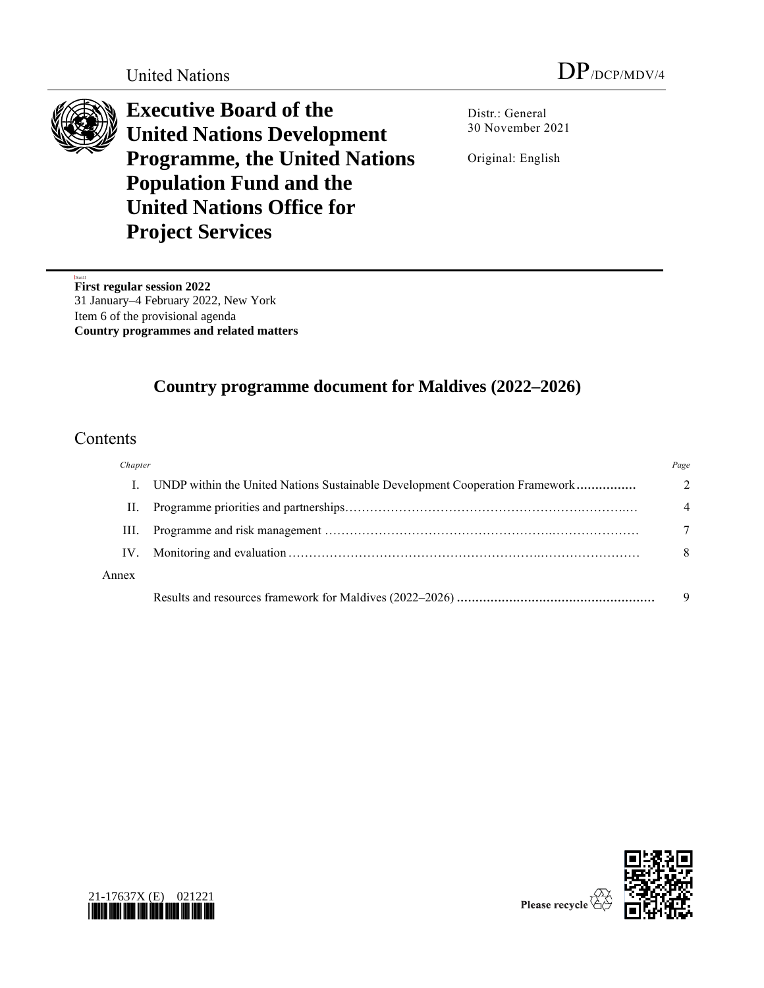

**Executive Board of the United Nations Development Programme, the United Nations Population Fund and the United Nations Office for Project Services**

Distr.: General 30 November 2021

Original: English

[Start1] **First regular session 2022** 31 January–4 February 2022, New York Item 6 of the provisional agenda **Country programmes and related matters**

# **Country programme document for Maldives (2022–2026)**

## Contents

| Chapter |                                                                              | Page          |
|---------|------------------------------------------------------------------------------|---------------|
|         | UNDP within the United Nations Sustainable Development Cooperation Framework | $\mathcal{D}$ |
| П.      |                                                                              | 4             |
| III.    |                                                                              |               |
| IV.     |                                                                              | 8             |
| Annex   |                                                                              |               |
|         |                                                                              | 9             |



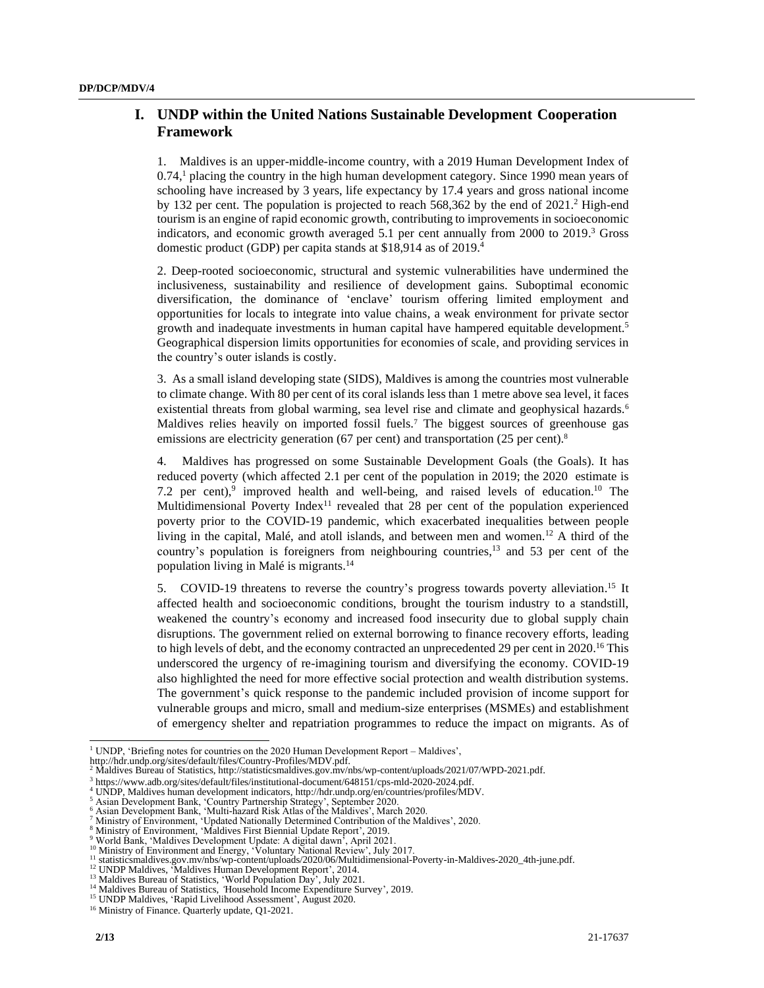## **I. UNDP within the United Nations Sustainable Development Cooperation Framework**

1. Maldives is an upper-middle-income country, with a 2019 Human Development Index of 0.74, <sup>1</sup> placing the country in the high human development category. Since 1990 mean years of schooling have increased by 3 years, life expectancy by 17.4 years and gross national income by 132 per cent. The population is projected to reach 568,362 by the end of 2021. <sup>2</sup> High-end tourism is an engine of rapid economic growth, contributing to improvements in socioeconomic indicators, and economic growth averaged 5.1 per cent annually from 2000 to 2019. <sup>3</sup> Gross domestic product (GDP) per capita stands at \$18,914 as of 2019. 4

2. Deep-rooted socioeconomic, structural and systemic vulnerabilities have undermined the inclusiveness, sustainability and resilience of development gains. Suboptimal economic diversification, the dominance of 'enclave' tourism offering limited employment and opportunities for locals to integrate into value chains, a weak environment for private sector growth and inadequate investments in human capital have hampered equitable development.<sup>5</sup> Geographical dispersion limits opportunities for economies of scale, and providing services in the country's outer islands is costly.

3. As a small island developing state (SIDS), Maldives is among the countries most vulnerable to climate change. With 80 per cent of its coral islands less than 1 metre above sea level, it faces existential threats from global warming, sea level rise and climate and geophysical hazards.<sup>6</sup> Maldives relies heavily on imported fossil fuels.<sup>7</sup> The biggest sources of greenhouse gas emissions are electricity generation (67 per cent) and transportation (25 per cent).<sup>8</sup>

4. Maldives has progressed on some Sustainable Development Goals (the Goals). It has reduced poverty (which affected 2.1 per cent of the population in 2019; the 2020 estimate is 7.2 per cent),<sup>9</sup> improved health and well-being, and raised levels of education.<sup>10</sup> The Multidimensional Poverty Index<sup>11</sup> revealed that  $28$  per cent of the population experienced poverty prior to the COVID-19 pandemic, which exacerbated inequalities between people living in the capital, Malé, and atoll islands, and between men and women.<sup>12</sup> A third of the country's population is foreigners from neighbouring countries, <sup>13</sup> and 53 per cent of the population living in Malé is migrants. 14

5. COVID-19 threatens to reverse the country's progress towards poverty alleviation.<sup>15</sup> It affected health and socioeconomic conditions, brought the tourism industry to a standstill, weakened the country's economy and increased food insecurity due to global supply chain disruptions. The government relied on external borrowing to finance recovery efforts, leading to high levels of debt, and the economy contracted an unprecedented 29 per cent in 2020. <sup>16</sup> This underscored the urgency of re-imagining tourism and diversifying the economy*.* COVID-19 also highlighted the need for more effective social protection and wealth distribution systems. The government's quick response to the pandemic included provision of income support for vulnerable groups and micro, small and medium-size enterprises (MSMEs) and establishment of emergency shelter and repatriation programmes to reduce the impact on migrants. As of

<sup>&</sup>lt;sup>1</sup> UNDP, 'Briefing notes for countries on the 2020 Human Development Report – Maldives',

http://hdr.undp.org/sites/default/files/Country-Profiles/MDV.pdf.

<sup>2</sup> Maldives Bureau of Statistics, http://statisticsmaldives.gov.mv/nbs/wp-content/uploads/2021/07/WPD-2021.pdf.<br>
<sup>3</sup> https://www.adb.org/sites/default/files/institutional-document/648151/cps-mld-2020-2024.pdf.

<sup>&</sup>lt;sup>3</sup> https://www.adb.org/sites/default/files/institutional-document/648151/cps-mld-2020-2024.pdf.

<sup>&</sup>lt;sup>4</sup> UNDP, Maldives human development indicators[, http://hdr.undp.org/en/countries/profiles/MDV.](http://hdr.undp.org/en/countries/profiles/MDV)<br><sup>5</sup> Asian Development Bank, 'Country Partnership Strategy', September 2020.<br>6 Asian Development Bank, 'Multi-hazard Risk Atlas

<sup>13</sup> Maldives Bureau of Statistics, 'World Population Day', July 2021. <sup>14</sup> Maldives Bureau of Statistics, *'*Household Income Expenditure Survey'*,* 2019.

<sup>&</sup>lt;sup>15</sup> UNDP Maldives, 'Rapid Livelihood Assessment', August 2020.

<sup>&</sup>lt;sup>16</sup> Ministry of Finance. Quarterly update, Q1-2021.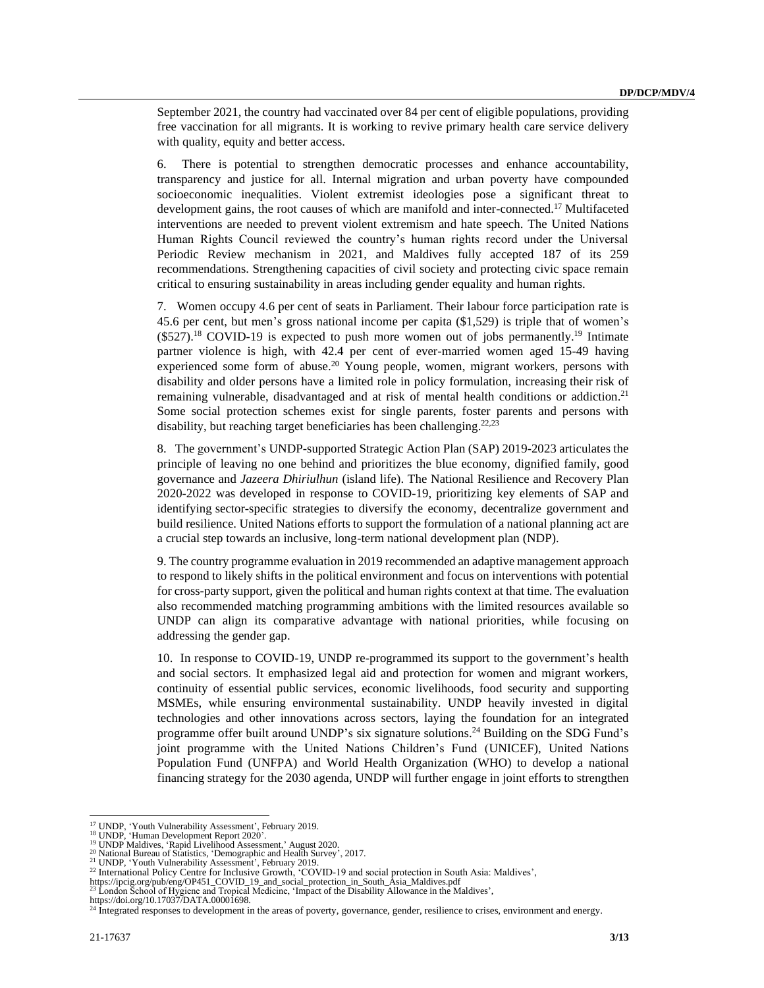September 2021, the country had vaccinated over 84 per cent of eligible populations, providing free vaccination for all migrants. It is working to revive primary health care service delivery with quality, equity and better access.

6. There is potential to strengthen democratic processes and enhance accountability, transparency and justice for all. Internal migration and urban poverty have compounded socioeconomic inequalities. Violent extremist ideologies pose a significant threat to development gains, the root causes of which are manifold and inter-connected. <sup>17</sup> Multifaceted interventions are needed to prevent violent extremism and hate speech. The United Nations Human Rights Council reviewed the country's human rights record under the Universal Periodic Review mechanism in 2021, and Maldives fully accepted 187 of its 259 recommendations. Strengthening capacities of civil society and protecting civic space remain critical to ensuring sustainability in areas including gender equality and human rights.

7. Women occupy 4.6 per cent of seats in Parliament. Their labour force participation rate is 45.6 per cent, but men's gross national income per capita (\$1,529) is triple that of women's  $($527).<sup>18</sup>$  COVID-19 is expected to push more women out of jobs permanently.<sup>19</sup> Intimate partner violence is high, with 42.4 per cent of ever-married women aged 15-49 having experienced some form of abuse.<sup>20</sup> Young people, women, migrant workers, persons with disability and older persons have a limited role in policy formulation, increasing their risk of remaining vulnerable, disadvantaged and at risk of mental health conditions or addiction.<sup>21</sup> Some social protection schemes exist for single parents, foster parents and persons with disability, but reaching target beneficiaries has been challenging.<sup>22,23</sup>

8. The government's UNDP-supported Strategic Action Plan (SAP) 2019-2023 articulates the principle of leaving no one behind and prioritizes the blue economy, dignified family, good governance and *Jazeera Dhiriulhun* (island life). The National Resilience and Recovery Plan 2020-2022 was developed in response to COVID-19, prioritizing key elements of SAP and identifying sector-specific strategies to diversify the economy, decentralize government and build resilience. United Nations efforts to support the formulation of a national planning act are a crucial step towards an inclusive, long-term national development plan (NDP).

9. The country programme evaluation in 2019 recommended an adaptive management approach to respond to likely shifts in the political environment and focus on interventions with potential for cross-party support, given the political and human rights context at that time. The evaluation also recommended matching programming ambitions with the limited resources available so UNDP can align its comparative advantage with national priorities, while focusing on addressing the gender gap.

10. In response to COVID-19, UNDP re-programmed its support to the government's health and social sectors. It emphasized legal aid and protection for women and migrant workers, continuity of essential public services, economic livelihoods, food security and supporting MSMEs, while ensuring environmental sustainability. UNDP heavily invested in digital technologies and other innovations across sectors, laying the foundation for an integrated programme offer built around UNDP's six signature solutions. <sup>24</sup> Building on the SDG Fund's joint programme with the United Nations Children's Fund (UNICEF), United Nations Population Fund (UNFPA) and World Health Organization (WHO) to develop a national financing strategy for the 2030 agenda, UNDP will further engage in joint efforts to strengthen

<sup>&</sup>lt;sup>17</sup> UNDP, 'Youth Vulnerability Assessment', February 2019.<br><sup>18</sup> UNDP, 'Human Development Report 2020'.

<sup>&</sup>lt;sup>19</sup> UNDP Maldives, 'Rapid Livelihood Assessment,' August 2020.<br><sup>20</sup> National Bureau of Statistics, 'Demographic and Health Survey', 2017.<br><sup>21</sup> UNDP, 'Youth Vulnerability Assessment', February 2019.<br><sup>21</sup> UNDP, 'Youth Vulne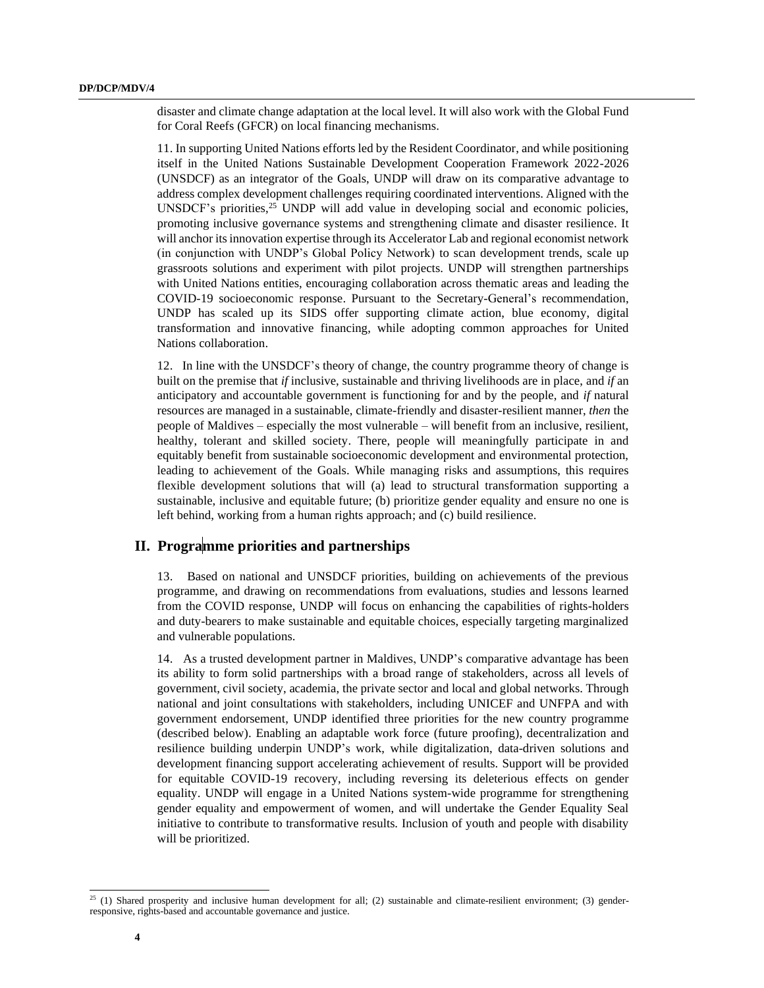disaster and climate change adaptation at the local level. It will also work with the Global Fund for Coral Reefs (GFCR) on local financing mechanisms.

11. In supporting United Nations efforts led by the Resident Coordinator, and while positioning itself in the United Nations Sustainable Development Cooperation Framework 2022-2026 (UNSDCF) as an integrator of the Goals, UNDP will draw on its comparative advantage to address complex development challenges requiring coordinated interventions. Aligned with the UNSDCF's priorities, <sup>25</sup> UNDP will add value in developing social and economic policies, promoting inclusive governance systems and strengthening climate and disaster resilience. It will anchor its innovation expertise through its Accelerator Lab and regional economist network (in conjunction with UNDP's Global Policy Network) to scan development trends, scale up grassroots solutions and experiment with pilot projects. UNDP will strengthen partnerships with United Nations entities, encouraging collaboration across thematic areas and leading the COVID-19 socioeconomic response. Pursuant to the Secretary-General's recommendation, UNDP has scaled up its SIDS offer supporting climate action, blue economy, digital transformation and innovative financing, while adopting common approaches for United Nations collaboration.

12. In line with the UNSDCF's theory of change, the country programme theory of change is built on the premise that *if* inclusive, sustainable and thriving livelihoods are in place, and *if* an anticipatory and accountable government is functioning for and by the people, and *if* natural resources are managed in a sustainable, climate-friendly and disaster-resilient manner, *then* the people of Maldives – especially the most vulnerable – will benefit from an inclusive, resilient, healthy, tolerant and skilled society. There, people will meaningfully participate in and equitably benefit from sustainable socioeconomic development and environmental protection, leading to achievement of the Goals. While managing risks and assumptions, this requires flexible development solutions that will (a) lead to structural transformation supporting a sustainable, inclusive and equitable future; (b) prioritize gender equality and ensure no one is left behind, working from a human rights approach; and (c) build resilience.

## **II. Programme priorities and partnerships**

13. Based on national and UNSDCF priorities, building on achievements of the previous programme, and drawing on recommendations from evaluations, studies and lessons learned from the COVID response, UNDP will focus on enhancing the capabilities of rights-holders and duty-bearers to make sustainable and equitable choices, especially targeting marginalized and vulnerable populations.

14. As a trusted development partner in Maldives, UNDP's comparative advantage has been its ability to form solid partnerships with a broad range of stakeholders, across all levels of government, civil society, academia, the private sector and local and global networks. Through national and joint consultations with stakeholders, including UNICEF and UNFPA and with government endorsement, UNDP identified three priorities for the new country programme (described below). Enabling an adaptable work force (future proofing), decentralization and resilience building underpin UNDP's work, while digitalization, data-driven solutions and development financing support accelerating achievement of results. Support will be provided for equitable COVID-19 recovery, including reversing its deleterious effects on gender equality. UNDP will engage in a United Nations system-wide programme for strengthening gender equality and empowerment of women, and will undertake the Gender Equality Seal initiative to contribute to transformative results. Inclusion of youth and people with disability will be prioritized.

 $25$  (1) Shared prosperity and inclusive human development for all; (2) sustainable and climate-resilient environment; (3) genderresponsive, rights-based and accountable governance and justice.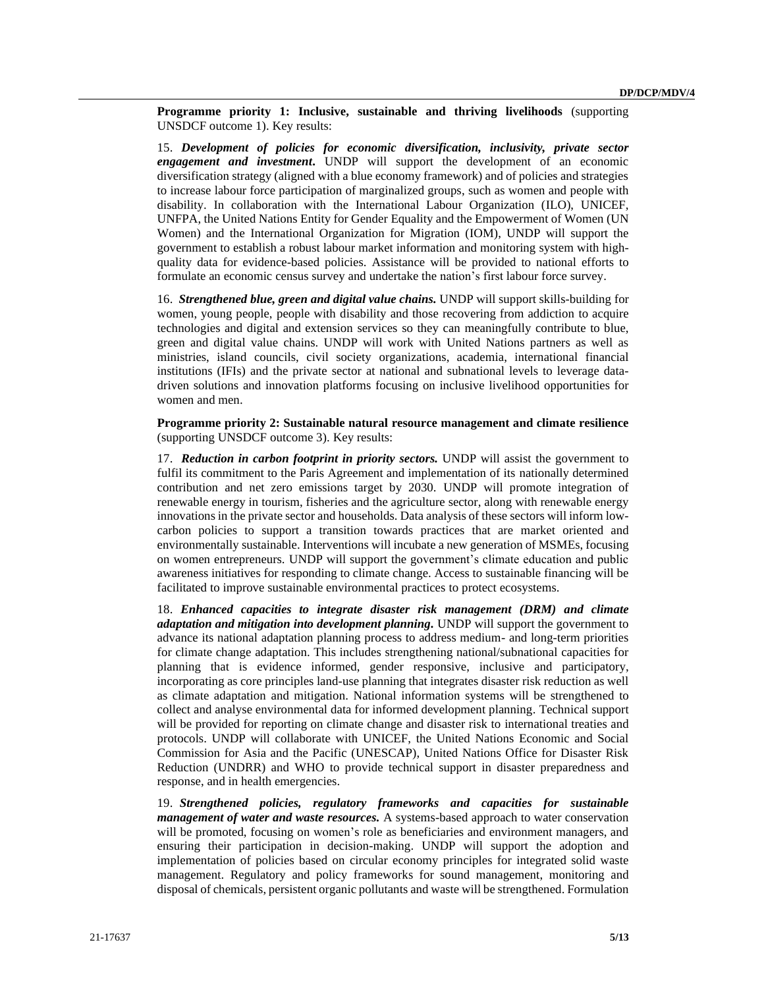**Programme priority 1: Inclusive, sustainable and thriving livelihoods** (supporting UNSDCF outcome 1). Key results:

15. *Development of policies for economic diversification, inclusivity, private sector engagement and investment***.** UNDP will support the development of an economic diversification strategy (aligned with a blue economy framework) and of policies and strategies to increase labour force participation of marginalized groups, such as women and people with disability. In collaboration with the International Labour Organization (ILO), UNICEF, UNFPA, the United Nations Entity for Gender Equality and the Empowerment of Women (UN Women) and the International Organization for Migration (IOM), UNDP will support the government to establish a robust labour market information and monitoring system with highquality data for evidence-based policies. Assistance will be provided to national efforts to formulate an economic census survey and undertake the nation's first labour force survey.

16. *Strengthened blue, green and digital value chains.* UNDP will support skills-building for women, young people, people with disability and those recovering from addiction to acquire technologies and digital and extension services so they can meaningfully contribute to blue, green and digital value chains. UNDP will work with United Nations partners as well as ministries, island councils, civil society organizations, academia, international financial institutions (IFIs) and the private sector at national and subnational levels to leverage datadriven solutions and innovation platforms focusing on inclusive livelihood opportunities for women and men.

**Programme priority 2: Sustainable natural resource management and climate resilience**  (supporting UNSDCF outcome 3). Key results:

17. *Reduction in carbon footprint in priority sectors.* UNDP will assist the government to fulfil its commitment to the Paris Agreement and implementation of its nationally determined contribution and net zero emissions target by 2030. UNDP will promote integration of renewable energy in tourism, fisheries and the agriculture sector, along with renewable energy innovations in the private sector and households. Data analysis of these sectors will inform lowcarbon policies to support a transition towards practices that are market oriented and environmentally sustainable. Interventions will incubate a new generation of MSMEs, focusing on women entrepreneurs. UNDP will support the government's climate education and public awareness initiatives for responding to climate change. Access to sustainable financing will be facilitated to improve sustainable environmental practices to protect ecosystems.

18. *Enhanced capacities to integrate disaster risk management (DRM) and climate adaptation and mitigation into development planning.* UNDP will support the government to advance its national adaptation planning process to address medium- and long-term priorities for climate change adaptation. This includes strengthening national/subnational capacities for planning that is evidence informed, gender responsive, inclusive and participatory, incorporating as core principles land-use planning that integrates disaster risk reduction as well as climate adaptation and mitigation. National information systems will be strengthened to collect and analyse environmental data for informed development planning. Technical support will be provided for reporting on climate change and disaster risk to international treaties and protocols. UNDP will collaborate with UNICEF, the United Nations Economic and Social Commission for Asia and the Pacific (UNESCAP), United Nations Office for Disaster Risk Reduction (UNDRR) and WHO to provide technical support in disaster preparedness and response, and in health emergencies.

19. *Strengthened policies, regulatory frameworks and capacities for sustainable management of water and waste resources.* A systems-based approach to water conservation will be promoted, focusing on women's role as beneficiaries and environment managers, and ensuring their participation in decision-making. UNDP will support the adoption and implementation of policies based on circular economy principles for integrated solid waste management. Regulatory and policy frameworks for sound management, monitoring and disposal of chemicals, persistent organic pollutants and waste will be strengthened. Formulation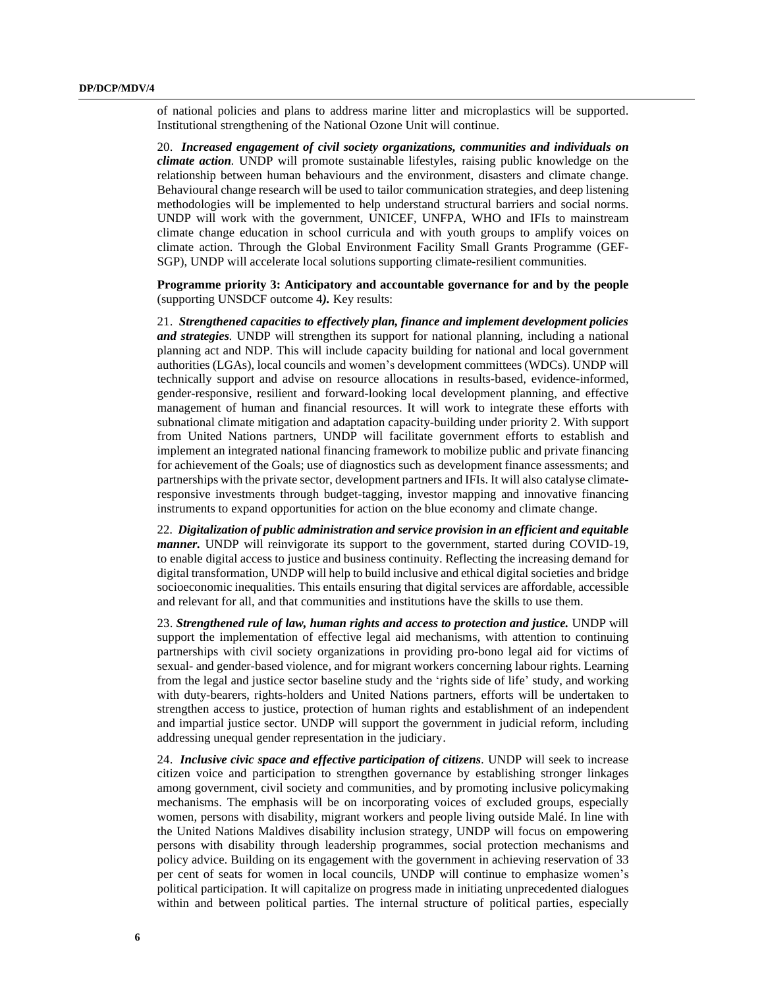of national policies and plans to address marine litter and microplastics will be supported. Institutional strengthening of the National Ozone Unit will continue.

20. *Increased engagement of civil society organizations, communities and individuals on climate action.* UNDP will promote sustainable lifestyles, raising public knowledge on the relationship between human behaviours and the environment, disasters and climate change. Behavioural change research will be used to tailor communication strategies, and deep listening methodologies will be implemented to help understand structural barriers and social norms. UNDP will work with the government, UNICEF, UNFPA, WHO and IFIs to mainstream climate change education in school curricula and with youth groups to amplify voices on climate action. Through the Global Environment Facility Small Grants Programme (GEF-SGP), UNDP will accelerate local solutions supporting climate-resilient communities.

**Programme priority 3: Anticipatory and accountable governance for and by the people** (supporting UNSDCF outcome 4*).* Key results:

21. *Strengthened capacities to effectively plan, finance and implement development policies and strategies.* UNDP will strengthen its support for national planning, including a national planning act and NDP. This will include capacity building for national and local government authorities (LGAs), local councils and women's development committees (WDCs). UNDP will technically support and advise on resource allocations in results-based, evidence-informed, gender-responsive, resilient and forward-looking local development planning, and effective management of human and financial resources. It will work to integrate these efforts with subnational climate mitigation and adaptation capacity-building under priority 2. With support from United Nations partners, UNDP will facilitate government efforts to establish and implement an integrated national financing framework to mobilize public and private financing for achievement of the Goals; use of diagnostics such as development finance assessments; and partnerships with the private sector, development partners and IFIs. It will also catalyse climateresponsive investments through budget-tagging, investor mapping and innovative financing instruments to expand opportunities for action on the blue economy and climate change.

22*. Digitalization of public administration and service provision in an efficient and equitable manner.* UNDP will reinvigorate its support to the government, started during COVID-19, to enable digital access to justice and business continuity. Reflecting the increasing demand for digital transformation, UNDP will help to build inclusive and ethical digital societies and bridge socioeconomic inequalities. This entails ensuring that digital services are affordable, accessible and relevant for all, and that communities and institutions have the skills to use them.

23. *Strengthened rule of law, human rights and access to protection and justice.* UNDP will support the implementation of effective legal aid mechanisms, with attention to continuing partnerships with civil society organizations in providing pro-bono legal aid for victims of sexual- and gender-based violence, and for migrant workers concerning labour rights. Learning from the legal and justice sector baseline study and the 'rights side of life' study, and working with duty-bearers, rights-holders and United Nations partners, efforts will be undertaken to strengthen access to justice, protection of human rights and establishment of an independent and impartial justice sector. UNDP will support the government in judicial reform, including addressing unequal gender representation in the judiciary.

24. *Inclusive civic space and effective participation of citizens.* UNDP will seek to increase citizen voice and participation to strengthen governance by establishing stronger linkages among government, civil society and communities, and by promoting inclusive policymaking mechanisms. The emphasis will be on incorporating voices of excluded groups, especially women, persons with disability, migrant workers and people living outside Malé. In line with the United Nations Maldives disability inclusion strategy, UNDP will focus on empowering persons with disability through leadership programmes, social protection mechanisms and policy advice. Building on its engagement with the government in achieving reservation of 33 per cent of seats for women in local councils, UNDP will continue to emphasize women's political participation. It will capitalize on progress made in initiating unprecedented dialogues within and between political parties. The internal structure of political parties, especially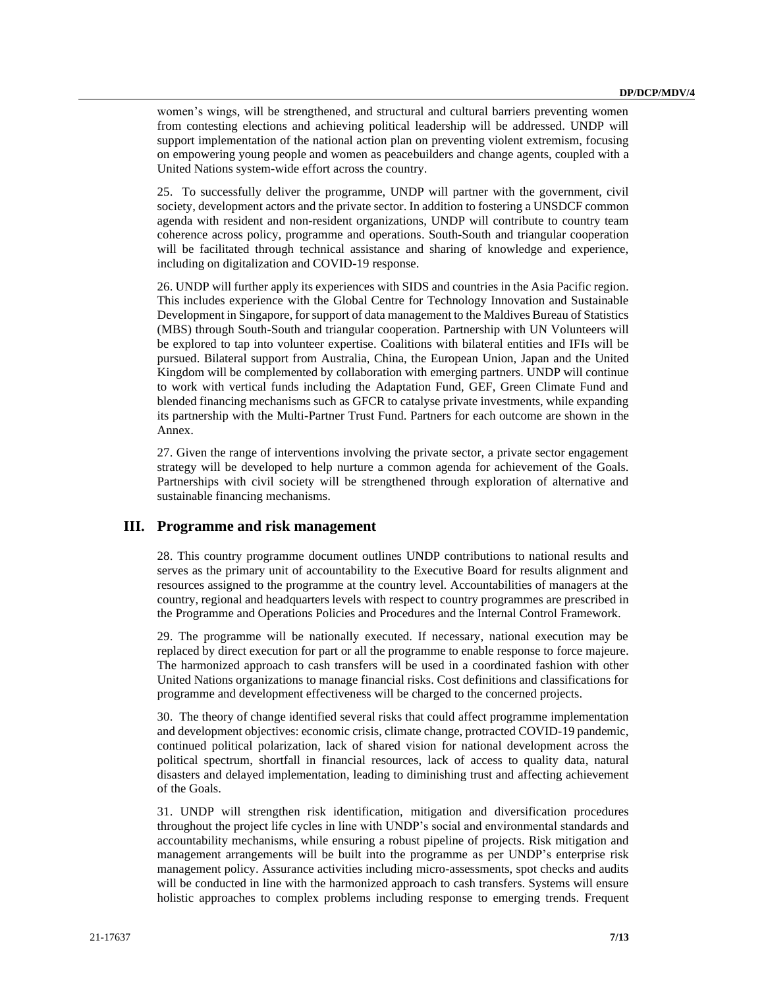women's wings, will be strengthened, and structural and cultural barriers preventing women from contesting elections and achieving political leadership will be addressed. UNDP will support implementation of the national action plan on preventing violent extremism, focusing on empowering young people and women as peacebuilders and change agents, coupled with a United Nations system-wide effort across the country.

25. To successfully deliver the programme, UNDP will partner with the government, civil society, development actors and the private sector. In addition to fostering a UNSDCF common agenda with resident and non-resident organizations, UNDP will contribute to country team coherence across policy, programme and operations. South-South and triangular cooperation will be facilitated through technical assistance and sharing of knowledge and experience, including on digitalization and COVID-19 response.

26. UNDP will further apply its experiences with SIDS and countries in the Asia Pacific region. This includes experience with the Global Centre for Technology Innovation and Sustainable Development in Singapore, for support of data management to the Maldives Bureau of Statistics (MBS) through South-South and triangular cooperation. Partnership with UN Volunteers will be explored to tap into volunteer expertise. Coalitions with bilateral entities and IFIs will be pursued. Bilateral support from Australia, China, the European Union, Japan and the United Kingdom will be complemented by collaboration with emerging partners. UNDP will continue to work with vertical funds including the Adaptation Fund, GEF, Green Climate Fund and blended financing mechanisms such as GFCR to catalyse private investments, while expanding its partnership with the Multi-Partner Trust Fund. Partners for each outcome are shown in the Annex.

27. Given the range of interventions involving the private sector, a private sector engagement strategy will be developed to help nurture a common agenda for achievement of the Goals. Partnerships with civil society will be strengthened through exploration of alternative and sustainable financing mechanisms.

## **III. Programme and risk management**

28. This country programme document outlines UNDP contributions to national results and serves as the primary unit of accountability to the Executive Board for results alignment and resources assigned to the programme at the country level. Accountabilities of managers at the country, regional and headquarters levels with respect to country programmes are prescribed in the Programme and Operations Policies and Procedures and the Internal Control Framework.

29. The programme will be nationally executed. If necessary, national execution may be replaced by direct execution for part or all the programme to enable response to force majeure. The harmonized approach to cash transfers will be used in a coordinated fashion with other United Nations organizations to manage financial risks. Cost definitions and classifications for programme and development effectiveness will be charged to the concerned projects.

30. The theory of change identified several risks that could affect programme implementation and development objectives: economic crisis, climate change, protracted COVID-19 pandemic, continued political polarization, lack of shared vision for national development across the political spectrum, shortfall in financial resources, lack of access to quality data, natural disasters and delayed implementation, leading to diminishing trust and affecting achievement of the Goals.

31. UNDP will strengthen risk identification, mitigation and diversification procedures throughout the project life cycles in line with UNDP's social and environmental standards and accountability mechanisms, while ensuring a robust pipeline of projects. Risk mitigation and management arrangements will be built into the programme as per UNDP's enterprise risk management policy. Assurance activities including micro-assessments, spot checks and audits will be conducted in line with the harmonized approach to cash transfers. Systems will ensure holistic approaches to complex problems including response to emerging trends. Frequent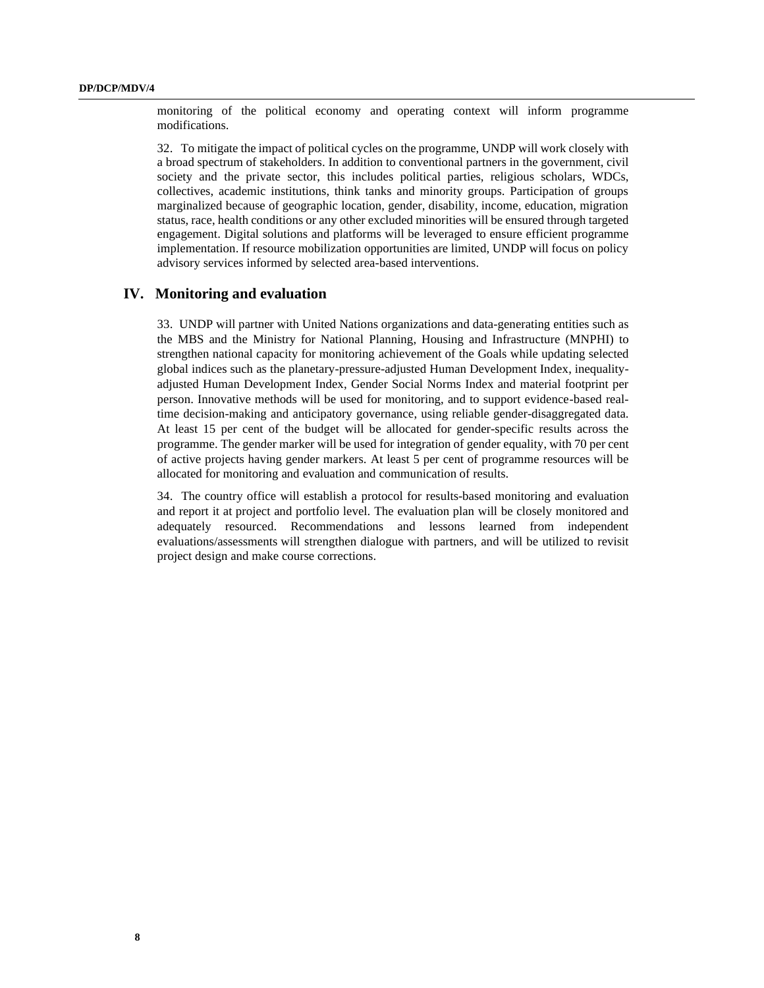monitoring of the political economy and operating context will inform programme modifications.

32. To mitigate the impact of political cycles on the programme, UNDP will work closely with a broad spectrum of stakeholders. In addition to conventional partners in the government, civil society and the private sector, this includes political parties, religious scholars, WDCs, collectives, academic institutions, think tanks and minority groups. Participation of groups marginalized because of geographic location, gender, disability, income, education, migration status, race, health conditions or any other excluded minorities will be ensured through targeted engagement. Digital solutions and platforms will be leveraged to ensure efficient programme implementation. If resource mobilization opportunities are limited, UNDP will focus on policy advisory services informed by selected area-based interventions.

#### **IV. Monitoring and evaluation**

33. UNDP will partner with United Nations organizations and data-generating entities such as the MBS and the Ministry for National Planning, Housing and Infrastructure (MNPHI) to strengthen national capacity for monitoring achievement of the Goals while updating selected global indices such as the planetary-pressure-adjusted Human Development Index, inequalityadjusted Human Development Index, Gender Social Norms Index and material footprint per person. Innovative methods will be used for monitoring, and to support evidence-based realtime decision-making and anticipatory governance, using reliable gender-disaggregated data. At least 15 per cent of the budget will be allocated for gender-specific results across the programme. The gender marker will be used for integration of gender equality, with 70 per cent of active projects having gender markers. At least 5 per cent of programme resources will be allocated for monitoring and evaluation and communication of results.

34. The country office will establish a protocol for results-based monitoring and evaluation and report it at project and portfolio level. The evaluation plan will be closely monitored and adequately resourced. Recommendations and lessons learned from independent evaluations/assessments will strengthen dialogue with partners, and will be utilized to revisit project design and make course corrections.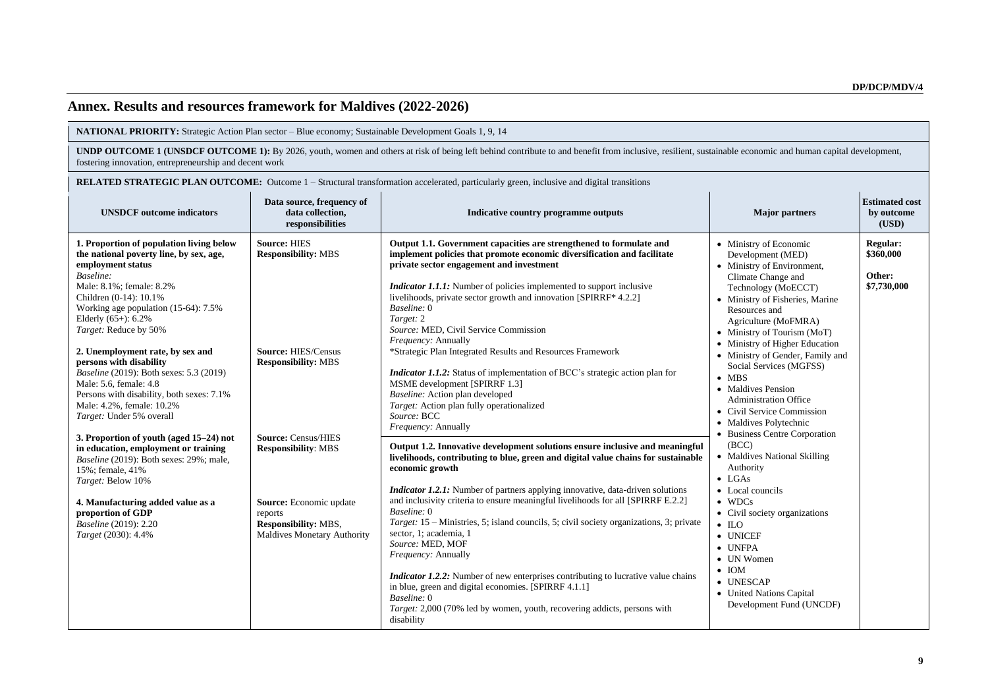## **Annex. Results and resources framework for Maldives (2022-2026)**

**NATIONAL PRIORITY:** Strategic Action Plan sector – Blue economy; Sustainable Development Goals 1, 9, 14

**UNDP OUTCOME 1 (UNSDCF OUTCOME 1):** By 2026, youth, women and others at risk of being left behind contribute to and benefit from inclusive, resilient, sustainable economic and human capital development, fostering innovation, entrepreneurship and decent work

**RELATED STRATEGIC PLAN OUTCOME:** Outcome 1 – Structural transformation accelerated, particularly green, inclusive and digital transitions

| <b>UNSDCF</b> outcome indicators                                                                                                                                                                                                                                                                                                                                                                                                                                                                                              | Data source, frequency of<br>data collection,<br>responsibilities                                                                                                                                                                                                                    | Indicative country programme outputs                                                                                                                                                                                                                                                                                                                                                                                                                                                                                                                                                                                                                                                                                                                                                                                                        | <b>Major</b> partners                                                                                                                                                                                                                                                                                                                                                                                                                                                                                                                                                                                                                                                                                                                                                                         | <b>Estimated cost</b><br>by outcome<br>(USD)          |
|-------------------------------------------------------------------------------------------------------------------------------------------------------------------------------------------------------------------------------------------------------------------------------------------------------------------------------------------------------------------------------------------------------------------------------------------------------------------------------------------------------------------------------|--------------------------------------------------------------------------------------------------------------------------------------------------------------------------------------------------------------------------------------------------------------------------------------|---------------------------------------------------------------------------------------------------------------------------------------------------------------------------------------------------------------------------------------------------------------------------------------------------------------------------------------------------------------------------------------------------------------------------------------------------------------------------------------------------------------------------------------------------------------------------------------------------------------------------------------------------------------------------------------------------------------------------------------------------------------------------------------------------------------------------------------------|-----------------------------------------------------------------------------------------------------------------------------------------------------------------------------------------------------------------------------------------------------------------------------------------------------------------------------------------------------------------------------------------------------------------------------------------------------------------------------------------------------------------------------------------------------------------------------------------------------------------------------------------------------------------------------------------------------------------------------------------------------------------------------------------------|-------------------------------------------------------|
| 1. Proportion of population living below<br>the national poverty line, by sex, age,<br>employment status<br>Baseline:<br>Male: 8.1%; female: 8.2%<br>Children (0-14): 10.1%<br>Working age population $(15-64)$ : 7.5%<br>Elderly $(65+)$ : $6.2\%$<br>Target: Reduce by 50%<br>2. Unemployment rate, by sex and<br>persons with disability<br><i>Baseline</i> (2019): Both sexes: 5.3 (2019)<br>Male: 5.6, female: 4.8<br>Persons with disability, both sexes: 7.1%<br>Male: 4.2%, female: 10.2%<br>Target: Under 5% overall | <b>Source: HIES</b><br><b>Responsibility: MBS</b><br><b>Source: HIES/Census</b><br><b>Responsibility: MBS</b><br><b>Source: Census/HIES</b><br><b>Responsibility: MBS</b><br>Source: Economic update<br>reports<br><b>Responsibility: MBS,</b><br><b>Maldives Monetary Authority</b> | Output 1.1. Government capacities are strengthened to formulate and<br>implement policies that promote economic diversification and facilitate<br>private sector engagement and investment<br><i>Indicator 1.1.1:</i> Number of policies implemented to support inclusive<br>livelihoods, private sector growth and innovation [SPIRRF* 4.2.2]<br>Baseline: 0<br>Target: 2<br>Source: MED, Civil Service Commission<br>Frequency: Annually<br>*Strategic Plan Integrated Results and Resources Framework<br><i>Indicator 1.1.2:</i> Status of implementation of BCC's strategic action plan for<br>MSME development [SPIRRF 1.3]<br>Baseline: Action plan developed<br>Target: Action plan fully operationalized<br>Source: BCC                                                                                                             | • Ministry of Economic<br>Development (MED)<br>• Ministry of Environment,<br>Climate Change and<br>Technology (MoECCT)<br>• Ministry of Fisheries, Marine<br>Resources and<br>Agriculture (MoFMRA)<br>• Ministry of Tourism (MoT)<br>• Ministry of Higher Education<br>• Ministry of Gender, Family and<br>Social Services (MGFSS)<br>$\bullet$ MBS<br>• Maldives Pension<br><b>Administration Office</b><br>• Civil Service Commission<br>• Maldives Polytechnic<br>• Business Centre Corporation<br>(BCC)<br>• Maldives National Skilling<br>Authority<br>$\bullet$ LGAs<br>• Local councils<br>$\bullet$ WDCs<br>• Civil society organizations<br>$\bullet$ ILO<br>• UNICEF<br>• UNFPA<br>• UN Women<br>$\bullet$ IOM<br>• UNESCAP<br>• United Nations Capital<br>Development Fund (UNCDF) | <b>Regular:</b><br>\$360,000<br>Other:<br>\$7,730,000 |
| 3. Proportion of youth (aged 15–24) not<br>in education, employment or training<br>Baseline (2019): Both sexes: 29%; male,<br>15%; female, 41%<br>Target: Below 10%<br>4. Manufacturing added value as a<br>proportion of GDP<br><i>Baseline</i> (2019): 2.20<br>Target (2030): 4.4%                                                                                                                                                                                                                                          |                                                                                                                                                                                                                                                                                      | Frequency: Annually<br>Output 1.2. Innovative development solutions ensure inclusive and meaningful<br>livelihoods, contributing to blue, green and digital value chains for sustainable<br>economic growth<br><i>Indicator 1.2.1:</i> Number of partners applying innovative, data-driven solutions<br>and inclusivity criteria to ensure meaningful livelihoods for all [SPIRRF E.2.2]<br>Baseline: 0<br>Target: 15 – Ministries, 5; island councils, 5; civil society organizations, 3; private<br>sector, 1; academia, 1<br>Source: MED, MOF<br><i>Frequency: Annually</i><br><i>Indicator 1.2.2:</i> Number of new enterprises contributing to lucrative value chains<br>in blue, green and digital economies. [SPIRRF 4.1.1]<br>Baseline: 0<br>Target: 2,000 (70% led by women, youth, recovering addicts, persons with<br>disability |                                                                                                                                                                                                                                                                                                                                                                                                                                                                                                                                                                                                                                                                                                                                                                                               |                                                       |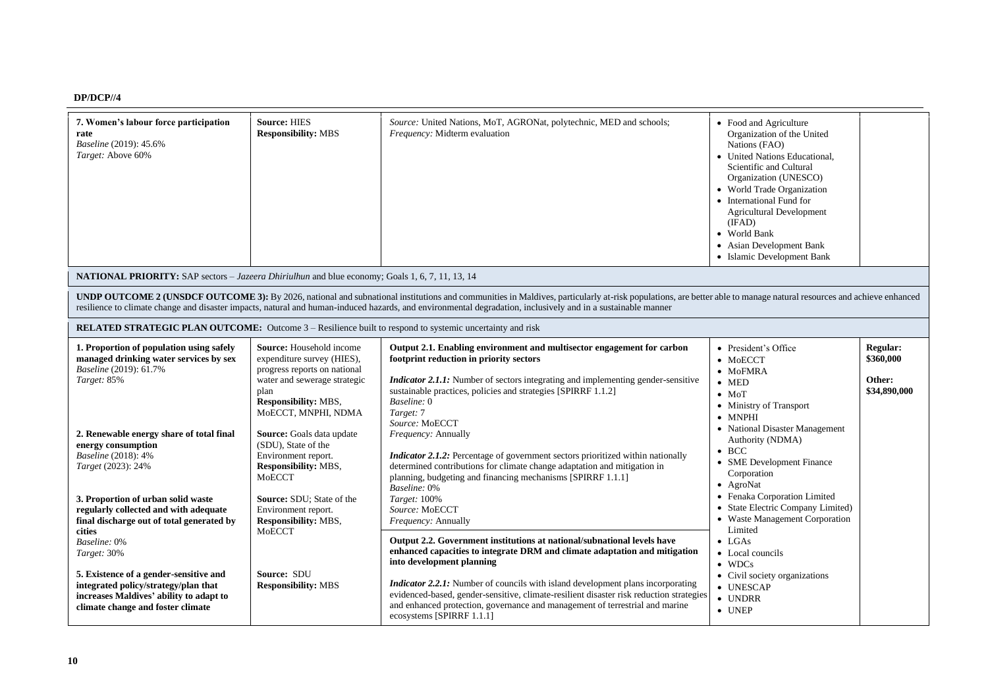## **DP/DCP//4**

| 7. Women's labour force participation<br>rate<br>Baseline (2019): 45.6%<br>Target: Above 60%                                                                                                                                            | <b>Source: HIES</b><br><b>Responsibility: MBS</b>                                                                                                                                                                                                                 | Source: United Nations, MoT, AGRONat, polytechnic, MED and schools;<br>Frequency: Midterm evaluation                                                                                                                                                                                                                                                                                                                                                                                 | • Food and Agriculture<br>Organization of the United<br>Nations (FAO)<br>• United Nations Educational,<br>Scientific and Cultural<br>Organization (UNESCO)<br>• World Trade Organization<br>• International Fund for<br><b>Agricultural Development</b><br>(IFAD)<br>• World Bank<br>• Asian Development Bank<br>• Islamic Development Bank |                                                 |
|-----------------------------------------------------------------------------------------------------------------------------------------------------------------------------------------------------------------------------------------|-------------------------------------------------------------------------------------------------------------------------------------------------------------------------------------------------------------------------------------------------------------------|--------------------------------------------------------------------------------------------------------------------------------------------------------------------------------------------------------------------------------------------------------------------------------------------------------------------------------------------------------------------------------------------------------------------------------------------------------------------------------------|---------------------------------------------------------------------------------------------------------------------------------------------------------------------------------------------------------------------------------------------------------------------------------------------------------------------------------------------|-------------------------------------------------|
| <b>NATIONAL PRIORITY:</b> SAP sectors – Jazeera Dhiriulhun and blue economy; Goals 1, 6, 7, 11, 13, 14                                                                                                                                  |                                                                                                                                                                                                                                                                   |                                                                                                                                                                                                                                                                                                                                                                                                                                                                                      |                                                                                                                                                                                                                                                                                                                                             |                                                 |
|                                                                                                                                                                                                                                         |                                                                                                                                                                                                                                                                   | <b>UNDP OUTCOME 2 (UNSDCF OUTCOME 3):</b> By 2026, national and subnational institutions and communities in Maldives, particularly at-risk populations, are better able to manage natural resources and achieve enhanced<br>resilience to climate change and disaster impacts, natural and human-induced hazards, and environmental degradation, inclusively and in a sustainable manner                                                                                             |                                                                                                                                                                                                                                                                                                                                             |                                                 |
| <b>RELATED STRATEGIC PLAN OUTCOME:</b> Outcome 3 – Resilience built to respond to systemic uncertainty and risk                                                                                                                         |                                                                                                                                                                                                                                                                   |                                                                                                                                                                                                                                                                                                                                                                                                                                                                                      |                                                                                                                                                                                                                                                                                                                                             |                                                 |
| 1. Proportion of population using safely<br>managed drinking water services by sex<br>Baseline (2019): 61.7%<br>Target: 85%                                                                                                             | Source: Household income<br>expenditure survey (HIES),<br>progress reports on national<br>water and sewerage strategic<br>plan<br>Responsibility: MBS,<br>MOECCT, MNPHI, NDMA                                                                                     | Output 2.1. Enabling environment and multisector engagement for carbon<br>footprint reduction in priority sectors<br><i>Indicator 2.1.1:</i> Number of sectors integrating and implementing gender-sensitive<br>sustainable practices, policies and strategies [SPIRRF 1.1.2]<br>Baseline: 0<br>Target: 7<br>Source: MoECCT                                                                                                                                                          | • President's Office<br>$\bullet$ MoECCT<br>$\bullet$ MoFMRA<br>$\bullet$ MED<br>$\bullet$ MoT<br>• Ministry of Transport<br>$\bullet$ MNPHI                                                                                                                                                                                                | Regular:<br>\$360,000<br>Other:<br>\$34,890,000 |
| 2. Renewable energy share of total final<br>energy consumption<br>Baseline (2018): 4%<br>Target (2023): 24%<br>3. Proportion of urban solid waste<br>regularly collected and with adequate<br>final discharge out of total generated by | Source: Goals data update<br>(SDU), State of the<br>Environment report.<br>Responsibility: MBS,<br><b>MoECCT</b><br>Source: SDU; State of the<br>Environment report.<br>Responsibility: MBS,<br><b>MoECCT</b><br><b>Source: SDU</b><br><b>Responsibility: MBS</b> | Frequency: Annually<br>Indicator 2.1.2: Percentage of government sectors prioritized within nationally<br>determined contributions for climate change adaptation and mitigation in<br>planning, budgeting and financing mechanisms [SPIRRF 1.1.1]<br>Baseline: 0%<br>Target: 100%<br>Source: MoECCT<br>Frequency: Annually                                                                                                                                                           | • National Disaster Management<br>Authority (NDMA)<br>$\bullet$ BCC<br>• SME Development Finance<br>Corporation<br>• AgroNat<br>• Fenaka Corporation Limited<br>• State Electric Company Limited)<br>• Waste Management Corporation                                                                                                         |                                                 |
| cities<br>Baseline: 0%<br>Target: 30%<br>5. Existence of a gender-sensitive and<br>integrated policy/strategy/plan that<br>increases Maldives' ability to adapt to<br>climate change and foster climate                                 |                                                                                                                                                                                                                                                                   | Output 2.2. Government institutions at national/subnational levels have<br>enhanced capacities to integrate DRM and climate adaptation and mitigation<br>into development planning<br><i>Indicator 2.2.1:</i> Number of councils with island development plans incorporating<br>evidenced-based, gender-sensitive, climate-resilient disaster risk reduction strategies<br>and enhanced protection, governance and management of terrestrial and marine<br>ecosystems [SPIRRF 1.1.1] | Limited<br>$\bullet$ LGAs<br>• Local councils<br>$\bullet$ WDCs<br>• Civil society organizations<br>• UNESCAP<br>• UNDRR<br>$\bullet$ UNEP                                                                                                                                                                                                  |                                                 |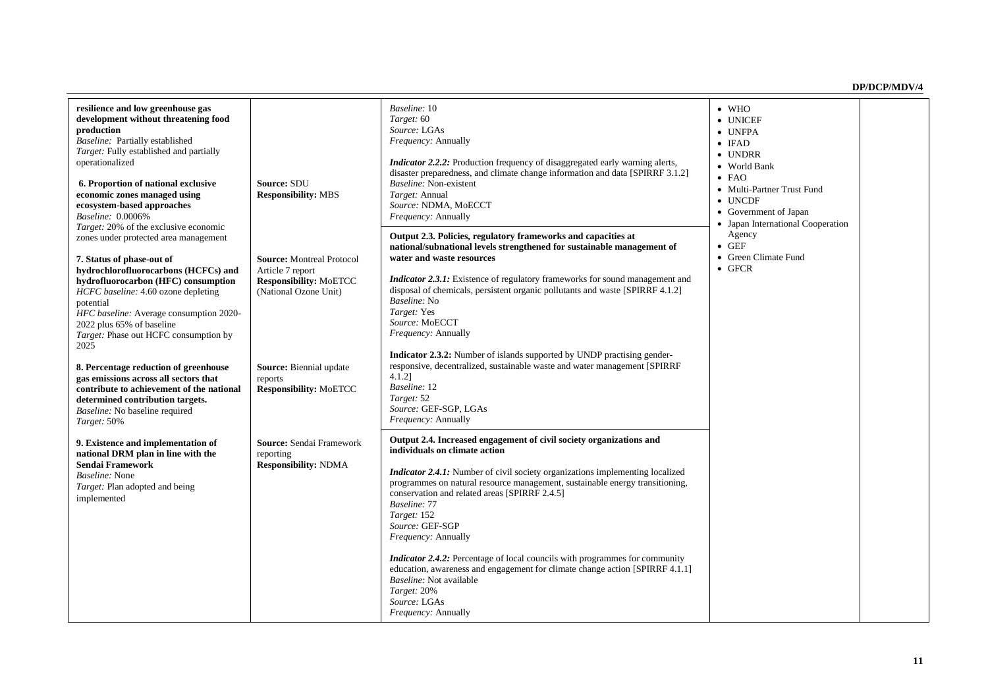| resilience and low greenhouse gas<br>development without threatening food<br>production<br>Baseline: Partially established<br>Target: Fully established and partially<br>operationalized<br>6. Proportion of national exclusive<br>economic zones managed using<br>ecosystem-based approaches<br>Baseline: 0.0006%<br><i>Target:</i> 20% of the exclusive economic<br>zones under protected area management<br>7. Status of phase-out of<br>hydrochlorofluorocarbons (HCFCs) and<br>hydrofluorocarbon (HFC) consumption<br>HCFC baseline: 4.60 ozone depleting<br>potential<br>HFC baseline: Average consumption 2020-<br>2022 plus 65% of baseline<br>Target: Phase out HCFC consumption by<br>2025<br>8. Percentage reduction of greenhouse<br>gas emissions across all sectors that<br>contribute to achievement of the national<br>determined contribution targets.<br>Baseline: No baseline required<br>Target: 50% | Source: SDU<br><b>Responsibility: MBS</b><br><b>Source:</b> Montreal Protocol<br>Article 7 report<br><b>Responsibility: MoETCC</b><br>(National Ozone Unit)<br>Source: Biennial update<br>reports<br><b>Responsibility: MoETCC</b> | Baseline: 10<br>Target: 60<br>Source: LGAs<br>Frequency: Annually<br><i>Indicator 2.2.2:</i> Production frequency of disaggregated early warning alerts,<br>disaster preparedness, and climate change information and data [SPIRRF 3.1.2]<br>Baseline: Non-existent<br>Target: Annual<br>Source: NDMA, MoECCT<br><i>Frequency: Annually</i><br>Output 2.3. Policies, regulatory frameworks and capacities at<br>national/subnational levels strengthened for sustainable management of<br>water and waste resources<br>Indicator 2.3.1: Existence of regulatory frameworks for sound management and<br>disposal of chemicals, persistent organic pollutants and waste [SPIRRF 4.1.2]<br>Baseline: No<br>Target: Yes<br>Source: MoECCT<br><i>Frequency: Annually</i><br>Indicator 2.3.2: Number of islands supported by UNDP practising gender-<br>responsive, decentralized, sustainable waste and water management [SPIRRF<br>$4.1.2$ ]<br>Baseline: 12<br>Target: 52<br>Source: GEF-SGP, LGAs<br><i>Frequency: Annually</i> | $\bullet$ WHO<br>• UNICEF<br>• UNFPA<br>$\bullet$ IFAD<br>• UNDRR<br>• World Bank<br>$\bullet$ FAO<br>• Multi-Partner Trust Fund<br>$\bullet$ UNCDF<br>• Government of Japan<br>• Japan International Cooperation<br>Agency<br>$\bullet$ GEF<br>• Green Climate Fund<br>$\bullet$ GFCR |  |
|--------------------------------------------------------------------------------------------------------------------------------------------------------------------------------------------------------------------------------------------------------------------------------------------------------------------------------------------------------------------------------------------------------------------------------------------------------------------------------------------------------------------------------------------------------------------------------------------------------------------------------------------------------------------------------------------------------------------------------------------------------------------------------------------------------------------------------------------------------------------------------------------------------------------------|------------------------------------------------------------------------------------------------------------------------------------------------------------------------------------------------------------------------------------|-------------------------------------------------------------------------------------------------------------------------------------------------------------------------------------------------------------------------------------------------------------------------------------------------------------------------------------------------------------------------------------------------------------------------------------------------------------------------------------------------------------------------------------------------------------------------------------------------------------------------------------------------------------------------------------------------------------------------------------------------------------------------------------------------------------------------------------------------------------------------------------------------------------------------------------------------------------------------------------------------------------------------------|----------------------------------------------------------------------------------------------------------------------------------------------------------------------------------------------------------------------------------------------------------------------------------------|--|
| 9. Existence and implementation of<br>national DRM plan in line with the<br>Sendai Framework<br><i>Baseline:</i> None<br>Target: Plan adopted and being<br>implemented                                                                                                                                                                                                                                                                                                                                                                                                                                                                                                                                                                                                                                                                                                                                                   | Source: Sendai Framework<br>reporting<br><b>Responsibility: NDMA</b>                                                                                                                                                               | Output 2.4. Increased engagement of civil society organizations and<br>individuals on climate action<br><i>Indicator 2.4.1:</i> Number of civil society organizations implementing localized<br>programmes on natural resource management, sustainable energy transitioning,<br>conservation and related areas [SPIRRF 2.4.5]<br>Baseline: 77<br>Target: 152<br>Source: GEF-SGP<br><i>Frequency: Annually</i><br><i>Indicator 2.4.2:</i> Percentage of local councils with programmes for community<br>education, awareness and engagement for climate change action [SPIRRF 4.1.1]<br>Baseline: Not available<br>Target: 20%<br>Source: LGAs<br>Frequency: Annually                                                                                                                                                                                                                                                                                                                                                          |                                                                                                                                                                                                                                                                                        |  |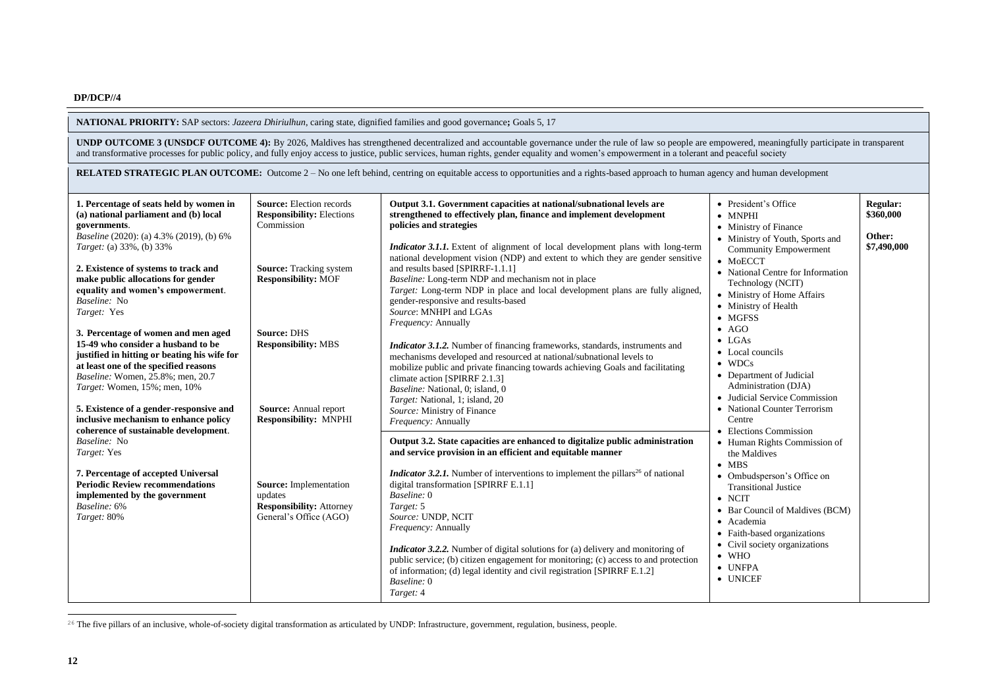**NATIONAL PRIORITY:** SAP sectors: *Jazeera Dhiriulhun*, caring state, dignified families and good governance**;** Goals 5, 17

**UNDP OUTCOME 3 (UNSDCF OUTCOME 4):** By 2026, Maldives has strengthened decentralized and accountable governance under the rule of law so people are empowered, meaningfully participate in transparent and transformative processes for public policy, and fully enjoy access to justice, public services, human rights, gender equality and women's empowerment in a tolerant and peaceful society

**RELATED STRATEGIC PLAN OUTCOME:** Outcome 2 – No one left behind, centring on equitable access to opportunities and a rights-based approach to human agency and human development

| 1. Percentage of seats held by women in<br>(a) national parliament and (b) local<br>governments.<br>Baseline (2020): (a) 4.3% (2019), (b) 6%<br>Target: (a) 33%, (b) 33%<br>2. Existence of systems to track and<br>make public allocations for gender<br>equality and women's empowerment.<br>Baseline: No<br>Target: Yes  | <b>Source:</b> Election records<br><b>Responsibility: Elections</b><br>Commission<br><b>Source:</b> Tracking system<br><b>Responsibility: MOF</b> | Output 3.1. Government capacities at national/subnational levels are<br>strengthened to effectively plan, finance and implement development<br>policies and strategies<br><i>Indicator 3.1.1.</i> Extent of alignment of local development plans with long-term<br>national development vision (NDP) and extent to which they are gender sensitive<br>and results based [SPIRRF-1.1.1]<br>Baseline: Long-term NDP and mechanism not in place<br>Target: Long-term NDP in place and local development plans are fully aligned,<br>gender-responsive and results-based<br>Source: MNHPI and LGAs | • President's Office<br>$\bullet$ MNPHI<br>• Ministry of Finance<br>• Ministry of Youth, Sports and<br><b>Community Empowerment</b><br>$\bullet$ MoECCT<br>• National Centre for Information<br>Technology (NCIT)<br>• Ministry of Home Affairs<br>• Ministry of Health<br>$\bullet$ MGFSS | Regular:<br>\$360,000<br>Other:<br>\$7,490,000 |
|-----------------------------------------------------------------------------------------------------------------------------------------------------------------------------------------------------------------------------------------------------------------------------------------------------------------------------|---------------------------------------------------------------------------------------------------------------------------------------------------|------------------------------------------------------------------------------------------------------------------------------------------------------------------------------------------------------------------------------------------------------------------------------------------------------------------------------------------------------------------------------------------------------------------------------------------------------------------------------------------------------------------------------------------------------------------------------------------------|--------------------------------------------------------------------------------------------------------------------------------------------------------------------------------------------------------------------------------------------------------------------------------------------|------------------------------------------------|
| 3. Percentage of women and men aged<br>15-49 who consider a husband to be<br>justified in hitting or beating his wife for<br>at least one of the specified reasons<br>Baseline: Women, 25.8%; men, 20.7<br>Target: Women, 15%; men, 10%<br>5. Existence of a gender-responsive and<br>inclusive mechanism to enhance policy | <b>Source: DHS</b><br><b>Responsibility: MBS</b><br><b>Source:</b> Annual report<br><b>Responsibility: MNPHI</b>                                  | <i>Frequency: Annually</i><br><i>Indicator 3.1.2.</i> Number of financing frameworks, standards, instruments and<br>mechanisms developed and resourced at national/subnational levels to<br>mobilize public and private financing towards achieving Goals and facilitating<br>climate action [SPIRRF 2.1.3]<br>Baseline: National, 0; island, 0<br>Target: National, 1; island, 20<br>Source: Ministry of Finance<br>Frequency: Annually                                                                                                                                                       | $\bullet$ AGO<br>$\bullet$ LGAs<br>• Local councils<br>$\bullet$ WDCs<br>• Department of Judicial<br>Administration (DJA)<br>• Judicial Service Commission<br>• National Counter Terrorism<br>Centre                                                                                       |                                                |
| coherence of sustainable development.<br>Baseline: No<br>Target: Yes<br>7. Percentage of accepted Universal<br><b>Periodic Review recommendations</b><br>implemented by the government<br>Baseline: 6%<br>Target: 80%                                                                                                       | <b>Source:</b> Implementation<br>updates<br><b>Responsibility: Attorney</b><br>General's Office (AGO)                                             | Output 3.2. State capacities are enhanced to digitalize public administration<br>and service provision in an efficient and equitable manner<br><b>Indicator 3.2.1.</b> Number of interventions to implement the pillars <sup>26</sup> of national<br>digital transformation [SPIRRF E.1.1]<br>Baseline: 0<br>Target: 5<br>Source: UNDP, NCIT<br><i>Frequency: Annually</i>                                                                                                                                                                                                                     | • Elections Commission<br>• Human Rights Commission of<br>the Maldives<br>$\bullet$ MBS<br>• Ombudsperson's Office on<br><b>Transitional Justice</b><br>$\bullet$ NCIT<br>• Bar Council of Maldives (BCM)<br>• Academia                                                                    |                                                |
|                                                                                                                                                                                                                                                                                                                             |                                                                                                                                                   | <i>Indicator 3.2.2.</i> Number of digital solutions for (a) delivery and monitoring of<br>public service; (b) citizen engagement for monitoring; (c) access to and protection<br>of information; (d) legal identity and civil registration [SPIRRF E.1.2]<br>Baseline: 0<br>Target: 4                                                                                                                                                                                                                                                                                                          | • Faith-based organizations<br>• Civil society organizations<br>$\bullet$ WHO<br>$\bullet$ UNFPA<br>• UNICEF                                                                                                                                                                               |                                                |

<sup>26</sup> The five pillars of an inclusive, whole-of-society digital transformation as articulated by UNDP: Infrastructure, government, regulation, business, people.